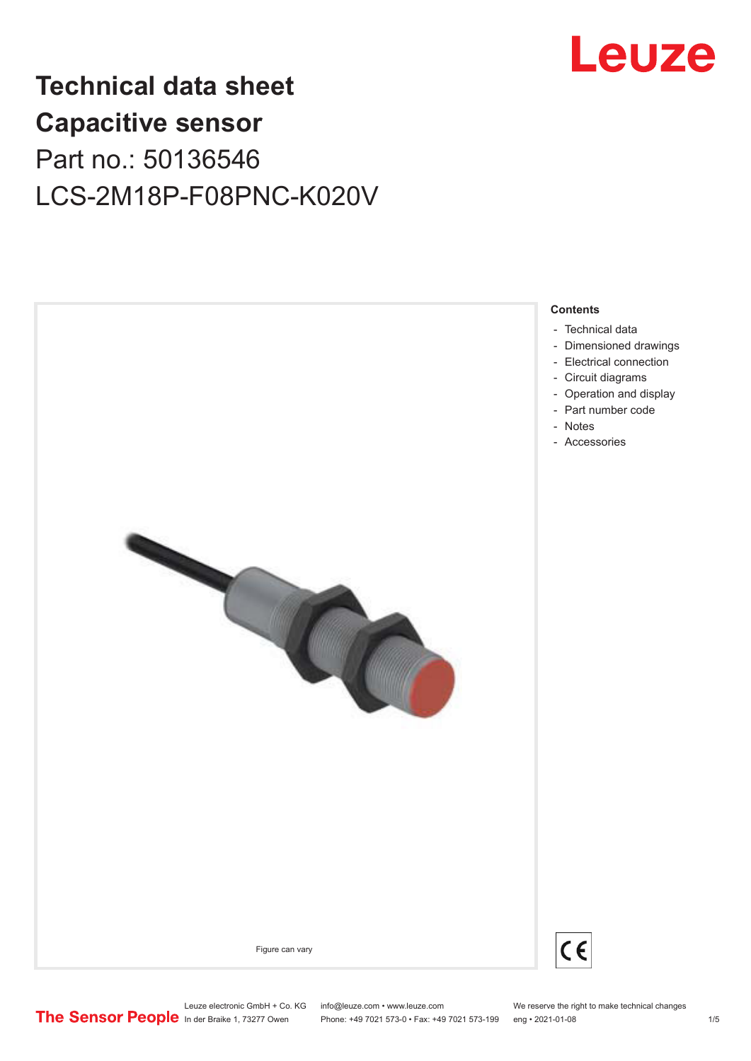

## **Technical data sheet Capacitive sensor** Part no.: 50136546 LCS-2M18P-F08PNC-K020V



Leuze electronic GmbH + Co. KG info@leuze.com • www.leuze.com We reserve the right to make technical changes<br>
The Sensor People in der Braike 1, 73277 Owen Phone: +49 7021 573-0 • Fax: +49 7021 573-199 eng • 2021-01-08

Phone: +49 7021 573-0 • Fax: +49 7021 573-199 eng • 2021-01-08 1 /5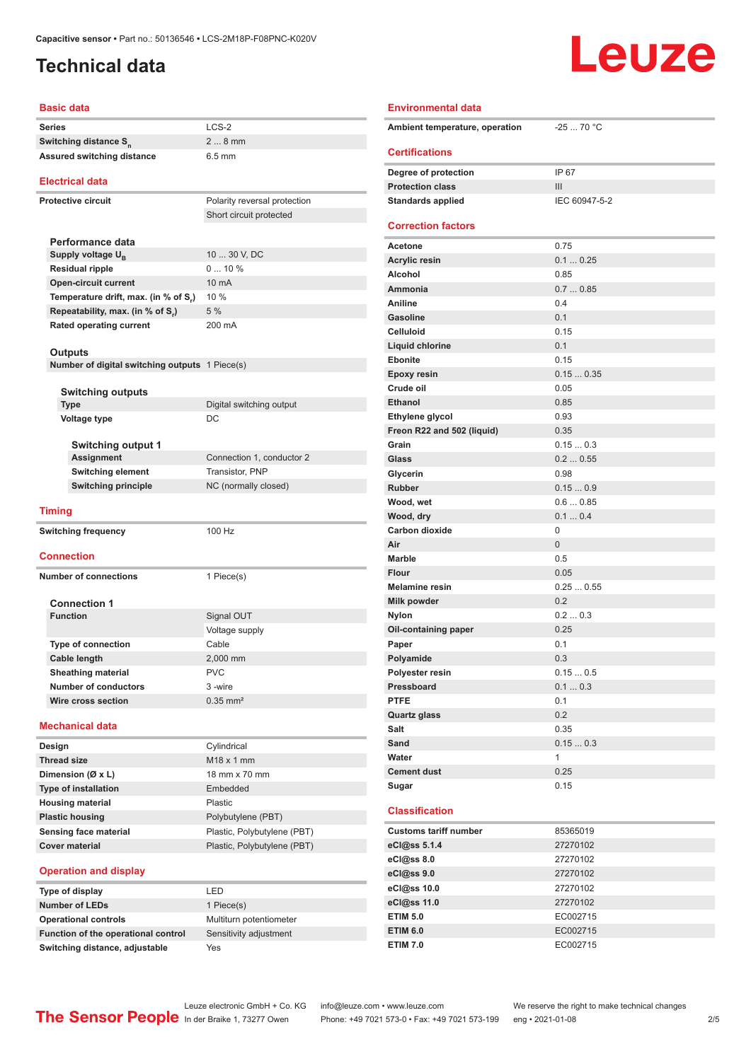### <span id="page-1-0"></span>**Technical data**

# Leuze

#### **Basic data**

| <b>Basic data</b>                                       |                              | <b>Environmental data</b>      |                  |
|---------------------------------------------------------|------------------------------|--------------------------------|------------------|
| <b>Series</b><br>Switching distance S <sub>n</sub>      | LCS-2<br>$28$ mm             | Ambient temperature, operation | $-2570$ °        |
| <b>Assured switching distance</b>                       | $6.5$ mm                     | <b>Certifications</b>          |                  |
|                                                         |                              | Degree of protection           | IP 67            |
| <b>Electrical data</b>                                  |                              | <b>Protection class</b>        | Ш                |
| <b>Protective circuit</b>                               | Polarity reversal protection | <b>Standards applied</b>       | <b>IEC 60947</b> |
|                                                         | Short circuit protected      |                                |                  |
|                                                         |                              | <b>Correction factors</b>      |                  |
| Performance data                                        |                              | Acetone                        | 0.75             |
| Supply voltage U <sub>B</sub><br><b>Residual ripple</b> | 10  30 V, DC<br>010%         | <b>Acrylic resin</b>           | 0.10.25          |
| <b>Open-circuit current</b>                             | 10 mA                        | Alcohol                        | 0.85             |
| Temperature drift, max. (in % of S,)                    | 10 %                         | Ammonia                        | 0.70.85          |
| Repeatability, max. (in % of S.)                        | 5 %                          | Aniline                        | 0.4              |
| Rated operating current                                 | 200 mA                       | <b>Gasoline</b>                | 0.1              |
|                                                         |                              | <b>Celluloid</b>               | 0.15             |
| <b>Outputs</b>                                          |                              | Liquid chlorine                | 0.1              |
| Number of digital switching outputs 1 Piece(s)          |                              | <b>Ebonite</b>                 | 0.15             |
|                                                         |                              | <b>Epoxy resin</b>             | 0.150.3          |
| <b>Switching outputs</b>                                |                              | Crude oil                      | 0.05             |
| <b>Type</b>                                             | Digital switching output     | <b>Ethanol</b>                 | 0.85             |
| <b>Voltage type</b>                                     | DC                           | Ethylene glycol                | 0.93             |
|                                                         |                              | Freon R22 and 502 (liquid)     | 0.35             |
| <b>Switching output 1</b><br><b>Assignment</b>          | Connection 1, conductor 2    | Grain<br>Glass                 | 0.150.3          |
| <b>Switching element</b>                                | Transistor, PNP              | Glycerin                       | 0.20.55<br>0.98  |
| <b>Switching principle</b>                              | NC (normally closed)         | <b>Rubber</b>                  | 0.150.9          |
|                                                         |                              | Wood, wet                      | 0.60.85          |
| <b>Timing</b>                                           |                              | Wood, dry                      | 0.10.4           |
| <b>Switching frequency</b>                              | 100 Hz                       | Carbon dioxide                 | 0                |
|                                                         |                              | Air                            | $\overline{0}$   |
| <b>Connection</b>                                       |                              | <b>Marble</b>                  | 0.5              |
| <b>Number of connections</b>                            | 1 Piece(s)                   | <b>Flour</b>                   | 0.05             |
|                                                         |                              | <b>Melamine resin</b>          | 0.250.5          |
| <b>Connection 1</b>                                     |                              | Milk powder                    | 0.2              |
| <b>Function</b>                                         | Signal OUT                   | <b>Nylon</b>                   | 0.20.3           |
|                                                         | Voltage supply               | Oil-containing paper           | 0.25             |
| <b>Type of connection</b>                               | Cable                        | Paper                          | 0.1              |
| Cable length                                            | 2,000 mm                     | Polyamide                      | 0.3              |
| <b>Sheathing material</b>                               | <b>PVC</b>                   | Polyester resin                | 0.150.5          |
| <b>Number of conductors</b>                             | 3-wire                       | Pressboard                     | 0.10.3           |
| Wire cross section                                      | $0.35$ mm <sup>2</sup>       | <b>PTFE</b>                    | 0.1              |
|                                                         |                              | Quartz glass                   | 0.2              |
| <b>Mechanical data</b>                                  |                              | Salt                           | 0.35             |
| Design                                                  | Cylindrical                  | Sand                           | 0.150.3          |
| <b>Thread size</b>                                      | M18 x 1 mm                   | Water                          | $\mathbf{1}$     |
| Dimension (Ø x L)                                       | 18 mm x 70 mm                | <b>Cement dust</b>             | 0.25             |
| <b>Type of installation</b>                             | Embedded                     | Sugar                          | 0.15             |
| <b>Housing material</b>                                 | Plastic                      |                                |                  |
| <b>Plastic housing</b>                                  | Polybutylene (PBT)           | <b>Classification</b>          |                  |
| Sensing face material                                   | Plastic, Polybutylene (PBT)  | <b>Customs tariff number</b>   | 85365019         |
| <b>Cover material</b>                                   | Plastic, Polybutylene (PBT)  | eCl@ss 5.1.4                   | 27270102         |
|                                                         |                              | eCl@ss 8.0                     | 27270102         |
| <b>Operation and display</b>                            |                              | eCl@ss 9.0                     | 27270102         |
| Type of display                                         | LED                          | eCl@ss 10.0                    | 27270102         |
| Number of I FDs                                         | $1$ Piere(s)                 | eCl@ss 11.0                    | 27270102         |

### **Ambient temperature, operation** -25 ... 70 °C **Certifications Degree of protection** IP 67 **Protection class III Standards applied** IEC 60947-5-2 **Correction factors Acetone** 0.75 **Acrylic resin** 0.1 ... 0.25 **Alcohol** 0.85 **Ammonia** 0.7 ... 0.85 **Aniline** 0.4 **Gasoline** 0.1 **Celluloid** 0.15 **Liquid chlorine** 0.1 **Ebonite** 0.15 **Epoxy resin** 0.15 ... 0.35 **Crude oil** 0.05 **Ethanol** 0.85 **Ethylene glycol** 0.93 **Freon R22 and 502 (liquid)** 0.35 **Grain** 0.15 ... 0.3 **Glass** 0.2 ... 0.55 **Glycerin** 0.98 **Rubber** 0.15 ... 0.9 **Wood, wet** 0.6 ... 0.85 **Wood, dry** 0.1 ... 0.4 **Carbon dioxide** 0 **Air** 0 Marble 0.5 **Flour** 0.05 **Melamine resin** 0.25 ... 0.55 **Milk powder** 0.2 **Nylon** 0.2 ... 0.3 **Oil-containing paper** 0.25 **Paper** 0.1 **Polyamide** 0.3 **Polyester resin** 0.15 ... 0.5 **Pressboard** 0.1 ... 0.3 **PTFE** 0.1 **Quartz glass** 0.2 **Salt** 0.35 **Sand** 0.15 ... 0.3 **Water** 1 **Cement dust** 0.25 **Sugar** 0.15 **Classification Customs tariff number** 85365019 **eCl@ss 5.1.4** 27270102 **eCl@ss 8.0** 27270102 **eCl@ss 9.0** 27270102 **eCl@ss 10.0** 27270102

| Type of display                     | l Fr |
|-------------------------------------|------|
| <b>Number of LEDs</b>               | 1P   |
| <b>Operational controls</b>         | Mul  |
| Function of the operational control | Ser  |
| Switching distance, adjustable      | Yes  |

1 Piece(s)

**Multiturn potentiometer Sensitivity adjustment** 

Leuze electronic GmbH + Co. KG info@leuze.com • www.leuze.com We reserve the right to make technical changes<br>
The Sensor People in der Braike 1, 73277 Owen Phone: +49 7021 573-0 • Fax: +49 7021 573-199 eng • 2021-01-08 Phone: +49 7021 573-0 • Fax: +49 7021 573-199 eng • 2021-01-08 2 2 /5

**ETIM 5.0** EC002715 **ETIM 6.0** EC002715 **ETIM 7.0** EC002715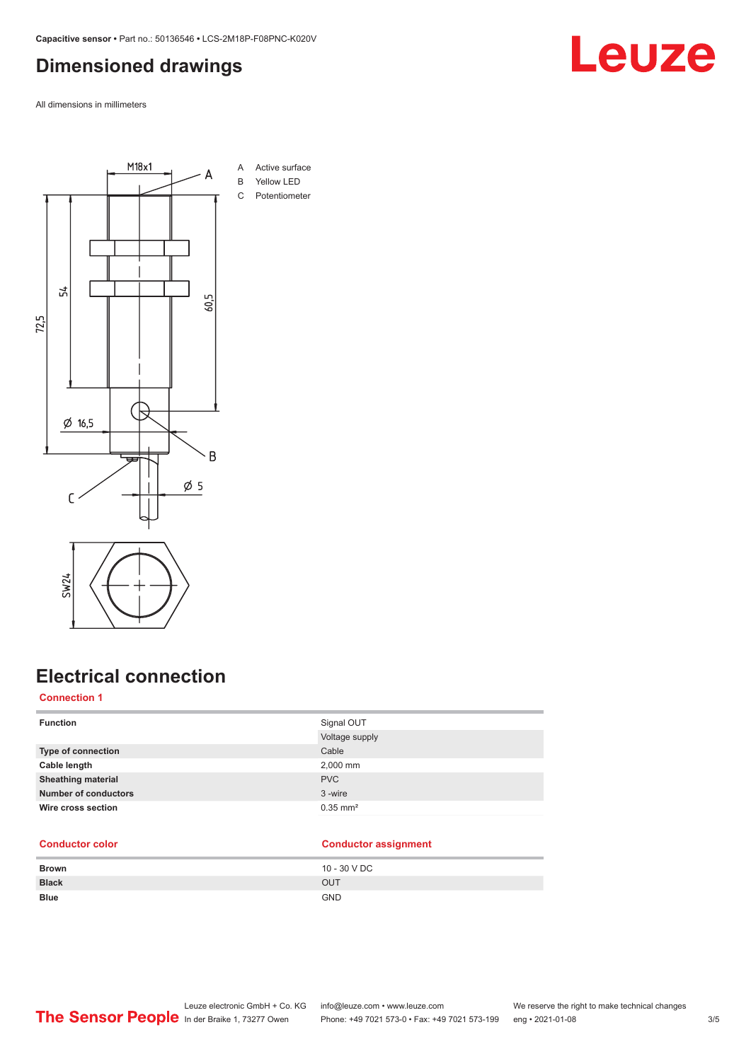### <span id="page-2-0"></span>**Dimensioned drawings**

All dimensions in millimeters



### **Electrical connection**

#### **Connection 1**

| <b>Function</b>             | Signal OUT             |
|-----------------------------|------------------------|
|                             | Voltage supply         |
| <b>Type of connection</b>   | Cable                  |
| Cable length                | 2,000 mm               |
| <b>Sheathing material</b>   | <b>PVC</b>             |
| <b>Number of conductors</b> | 3-wire                 |
| Wire cross section          | $0.35$ mm <sup>2</sup> |
|                             |                        |

#### **Conductor color Conductor assignment**

| <b>Brown</b>              | 10 - 30 V DC |
|---------------------------|--------------|
| <b>Black</b><br>OUT       |              |
| <b>Blue</b><br><b>GND</b> |              |



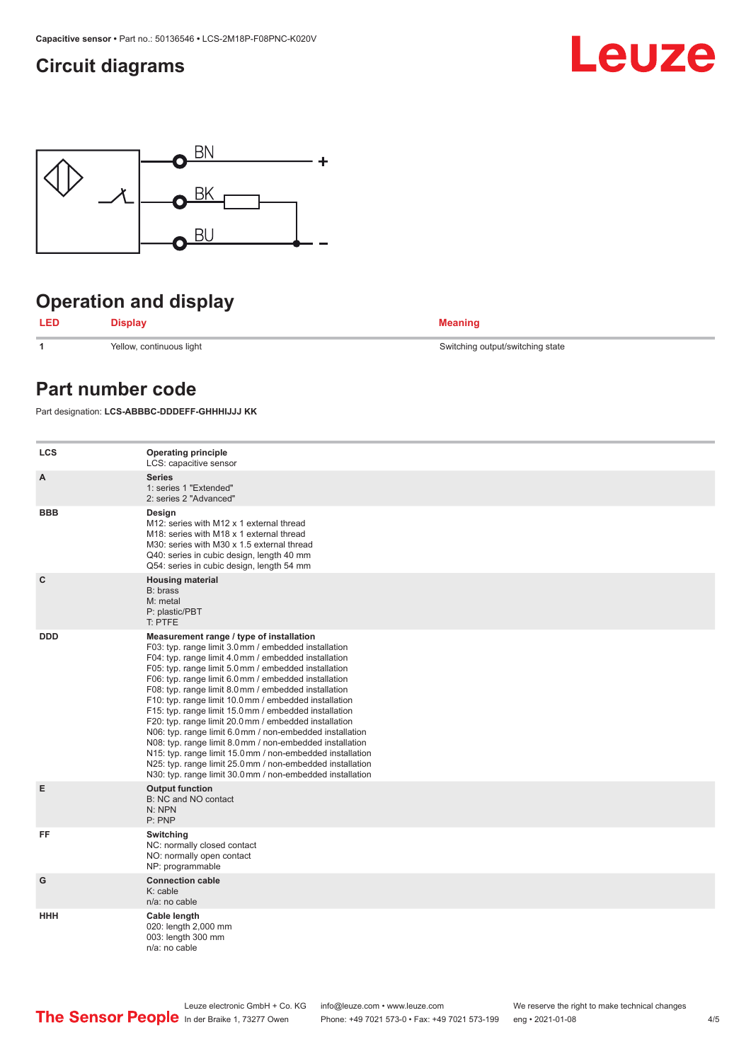### <span id="page-3-0"></span>**Circuit diagrams**





### **Operation and display**



**1** Yellow, continuous light Switching output/switching state

### **Part number code**

Part designation: **LCS-ABBBC-DDDEFF-GHHHIJJJ KK**

| <b>LCS</b> | <b>Operating principle</b><br>LCS: capacitive sensor                                                                                                                                                                                                                                                                                                                                                                                                                                                                                                                                                                                                                                                                                                                                                                       |
|------------|----------------------------------------------------------------------------------------------------------------------------------------------------------------------------------------------------------------------------------------------------------------------------------------------------------------------------------------------------------------------------------------------------------------------------------------------------------------------------------------------------------------------------------------------------------------------------------------------------------------------------------------------------------------------------------------------------------------------------------------------------------------------------------------------------------------------------|
| A          | <b>Series</b><br>1: series 1 "Extended"<br>2: series 2 "Advanced"                                                                                                                                                                                                                                                                                                                                                                                                                                                                                                                                                                                                                                                                                                                                                          |
| <b>BBB</b> | Design<br>M12: series with M12 x 1 external thread<br>M18: series with M18 x 1 external thread<br>M30: series with M30 x 1.5 external thread<br>Q40: series in cubic design, length 40 mm<br>Q54: series in cubic design, length 54 mm                                                                                                                                                                                                                                                                                                                                                                                                                                                                                                                                                                                     |
| C          | <b>Housing material</b><br>B: brass<br>M: metal<br>P: plastic/PBT<br>T: PTFE                                                                                                                                                                                                                                                                                                                                                                                                                                                                                                                                                                                                                                                                                                                                               |
| <b>DDD</b> | Measurement range / type of installation<br>F03: typ. range limit 3.0 mm / embedded installation<br>F04: typ. range limit 4.0 mm / embedded installation<br>F05: typ. range limit 5.0 mm / embedded installation<br>F06: typ. range limit 6.0 mm / embedded installation<br>F08: typ. range limit 8.0 mm / embedded installation<br>F10: typ. range limit 10.0 mm / embedded installation<br>F15: typ. range limit 15.0 mm / embedded installation<br>F20: typ. range limit 20.0 mm / embedded installation<br>N06: typ. range limit 6.0 mm / non-embedded installation<br>N08: typ. range limit 8.0 mm / non-embedded installation<br>N15: typ. range limit 15.0 mm / non-embedded installation<br>N25: typ. range limit 25.0 mm / non-embedded installation<br>N30: typ. range limit 30.0 mm / non-embedded installation |
| E          | <b>Output function</b><br>B: NC and NO contact<br>N: NPN<br>P: PNP                                                                                                                                                                                                                                                                                                                                                                                                                                                                                                                                                                                                                                                                                                                                                         |
| FF         | Switching<br>NC: normally closed contact<br>NO: normally open contact<br>NP: programmable                                                                                                                                                                                                                                                                                                                                                                                                                                                                                                                                                                                                                                                                                                                                  |
| G          | <b>Connection cable</b><br>K: cable<br>n/a: no cable                                                                                                                                                                                                                                                                                                                                                                                                                                                                                                                                                                                                                                                                                                                                                                       |
| HHH        | Cable length<br>020: length 2,000 mm<br>003: length 300 mm<br>n/a: no cable                                                                                                                                                                                                                                                                                                                                                                                                                                                                                                                                                                                                                                                                                                                                                |